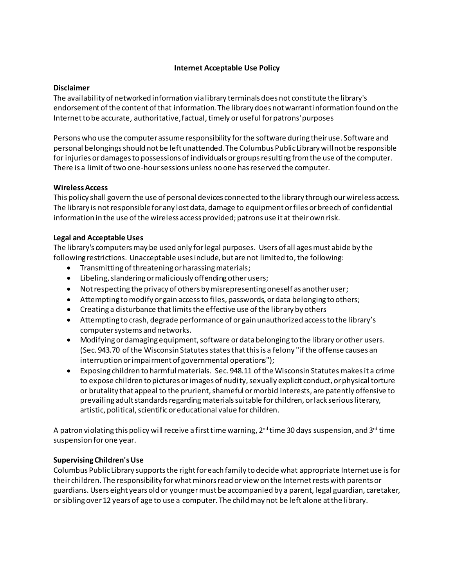### **Internet Acceptable Use Policy**

#### **Disclaimer**

The availability of networked information via library terminals does not constitute the library's endorsement of the content of that information. The library does not warrant information found on the Internet to be accurate, authoritative, factual, timely or useful for patrons' purposes

Persons who use the computer assume responsibility for the software during their use. Software and personal belongings should not be left unattended. The Columbus Public Library will not be responsible for injuries or damages to possessions of individuals or groups resulting from the use of the computer. There is a limit of two one-hour sessions unless no one has reserved the computer.

## **Wireless Access**

This policy shall govern the use of personal devices connected to the library through our wireless access. The library is not responsible for any lost data, damage to equipment or files or breech of confidential information in the use of the wireless access provided; patrons use it at their own risk.

## **Legal and Acceptable Uses**

The library's computers may be used only for legal purposes. Users of all ages must abide by the following restrictions. Unacceptable uses include, but are not limited to, the following:

- Transmitting of threatening or harassing materials;
- Libeling, slandering or maliciously offending other users;
- Not respecting the privacy of others by misrepresenting oneself as another user;
- Attempting to modify or gain access to files, passwords, or data belonging to others;
- Creating a disturbance that limits the effective use of the library by others
- Attempting to crash, degrade performance of or gain unauthorized access to the library's computer systems and networks.
- Modifying or damaging equipment, software or data belonging to the library or other users. (Sec. 943.70 of the Wisconsin Statutes states that this is a felony "if the offense causes an interruption or impairment of governmental operations");
- Exposing children to harmful materials. Sec. 948.11 of the Wisconsin Statutes makes it a crime to expose children to pictures or images of nudity, sexually explicit conduct, or physical torture or brutality that appeal to the prurient, shameful or morbid interests, are patently offensive to prevailing adult standards regarding materials suitable for children, or lack serious literary, artistic, political, scientific or educational value for children.

A patron violating this policy will receive a first time warning,  $2^{nd}$  time 30 days suspension, and 3<sup>rd</sup> time suspension for one year.

# **Supervising Children's Use**

Columbus Public Library supports the right for each family to decide what appropriate Internet use isfor their children. The responsibility for what minors read or view on the Internet rests with parents or guardians.Users eight years old or youngermust be accompanied by a parent, legal guardian, caretaker, or sibling over 12 years of age to use a computer. The child may not be left alone at the library.